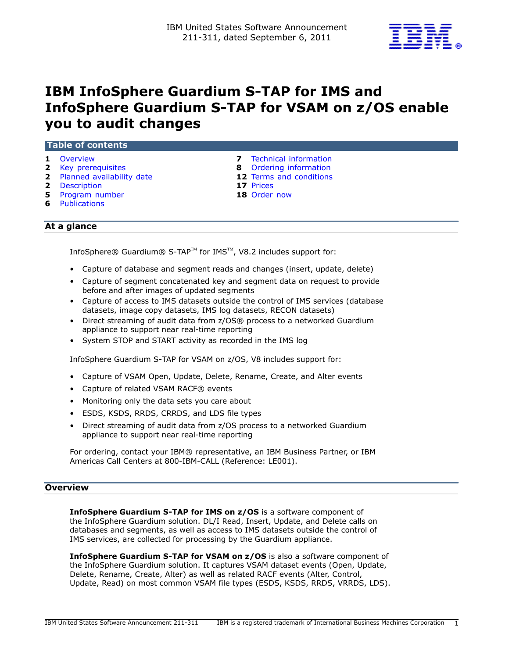

# IBM InfoSphere Guardium S-TAP for IMS and InfoSphere Guardium S-TAP for VSAM on z/OS enable you to audit changes

| <b>Table of contents</b>    |                                       |  |  |  |  |  |  |
|-----------------------------|---------------------------------------|--|--|--|--|--|--|
| <b>1</b> Overview           | Technical information<br>$\mathbf{z}$ |  |  |  |  |  |  |
| <b>2</b> Key prerequisites  | <b>8</b> Ordering information         |  |  |  |  |  |  |
| 2 Planned availability date | <b>12</b> Terms and conditions        |  |  |  |  |  |  |

- 2 [Description](#page-1-2) 17 Prices
- **5** [Program number](#page-4-0) **18** Order now
- 6 [Publications](#page-5-0)
- 
- 
- 

# At a glance

InfoSphere® Guardium® S-TAP™ for IMS™, V8.2 includes support for:

- Capture of database and segment reads and changes (insert, update, delete)
- Capture of segment concatenated key and segment data on request to provide before and after images of updated segments
- Capture of access to IMS datasets outside the control of IMS services (database datasets, image copy datasets, IMS log datasets, RECON datasets)
- Direct streaming of audit data from z/OS® process to a networked Guardium appliance to support near real-time reporting
- System STOP and START activity as recorded in the IMS log

InfoSphere Guardium S-TAP for VSAM on z/OS, V8 includes support for:

- Capture of VSAM Open, Update, Delete, Rename, Create, and Alter events
- Capture of related VSAM RACF® events
- Monitoring only the data sets you care about
- ESDS, KSDS, RRDS, CRRDS, and LDS file types
- Direct streaming of audit data from z/OS process to a networked Guardium appliance to support near real-time reporting

For ordering, contact your IBM® representative, an IBM Business Partner, or IBM Americas Call Centers at 800-IBM-CALL (Reference: LE001).

#### <span id="page-0-0"></span>**Overview**

InfoSphere Guardium S-TAP for IMS on z/OS is a software component of the InfoSphere Guardium solution. DL/I Read, Insert, Update, and Delete calls on databases and segments, as well as access to IMS datasets outside the control of IMS services, are collected for processing by the Guardium appliance.

InfoSphere Guardium S-TAP for VSAM on z/OS is also a software component of the InfoSphere Guardium solution. It captures VSAM dataset events (Open, Update, Delete, Rename, Create, Alter) as well as related RACF events (Alter, Control, Update, Read) on most common VSAM file types (ESDS, KSDS, RRDS, VRRDS, LDS).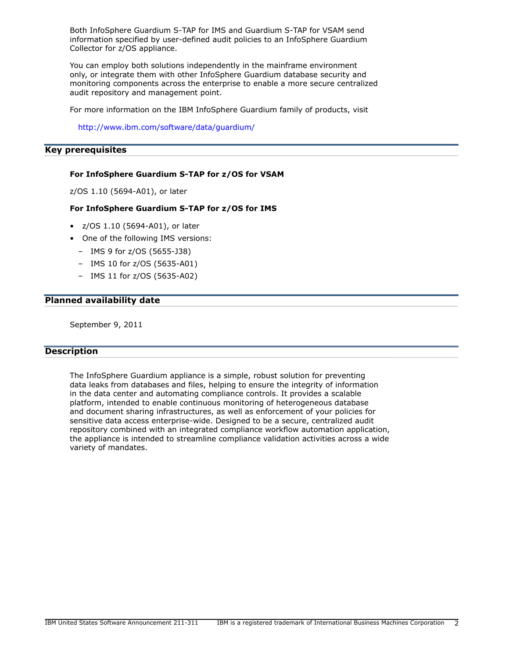Both InfoSphere Guardium S-TAP for IMS and Guardium S-TAP for VSAM send information specified by user-defined audit policies to an InfoSphere Guardium Collector for z/OS appliance.

You can employ both solutions independently in the mainframe environment only, or integrate them with other InfoSphere Guardium database security and monitoring components across the enterprise to enable a more secure centralized audit repository and management point.

For more information on the IBM InfoSphere Guardium family of products, visit

<http://www.ibm.com/software/data/guardium/>

#### <span id="page-1-0"></span>Key prerequisites

#### For InfoSphere Guardium S-TAP for z/OS for VSAM

z/OS 1.10 (5694-A01), or later

#### For InfoSphere Guardium S-TAP for z/OS for IMS

- z/OS 1.10 (5694-A01), or later
- One of the following IMS versions:
	- IMS 9 for z/OS (5655-J38)
	- IMS 10 for z/OS (5635-A01)
	- IMS 11 for z/OS (5635-A02)

## <span id="page-1-1"></span>Planned availability date

September 9, 2011

# <span id="page-1-2"></span>**Description**

The InfoSphere Guardium appliance is a simple, robust solution for preventing data leaks from databases and files, helping to ensure the integrity of information in the data center and automating compliance controls. It provides a scalable platform, intended to enable continuous monitoring of heterogeneous database and document sharing infrastructures, as well as enforcement of your policies for sensitive data access enterprise-wide. Designed to be a secure, centralized audit repository combined with an integrated compliance workflow automation application, the appliance is intended to streamline compliance validation activities across a wide variety of mandates.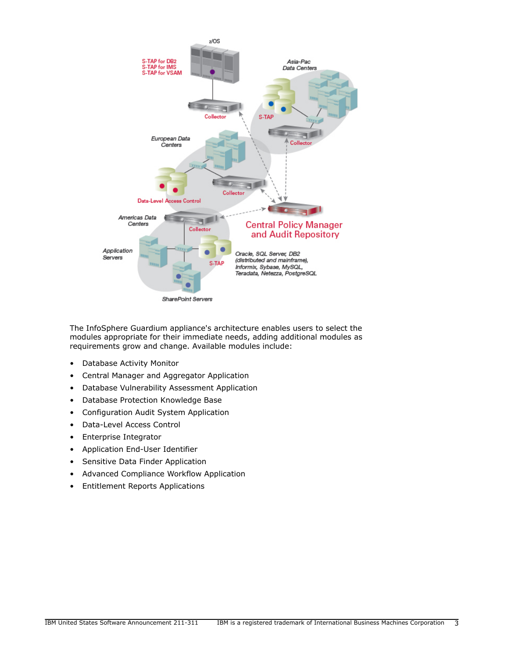

The InfoSphere Guardium appliance's architecture enables users to select the modules appropriate for their immediate needs, adding additional modules as requirements grow and change. Available modules include:

- Database Activity Monitor
- Central Manager and Aggregator Application
- Database Vulnerability Assessment Application
- Database Protection Knowledge Base
- Configuration Audit System Application
- Data-Level Access Control
- Enterprise Integrator
- Application End-User Identifier
- Sensitive Data Finder Application
- Advanced Compliance Workflow Application
- Entitlement Reports Applications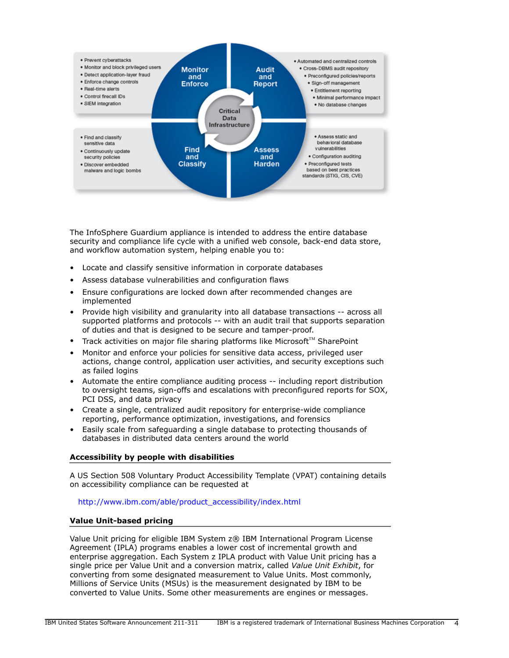

The InfoSphere Guardium appliance is intended to address the entire database security and compliance life cycle with a unified web console, back-end data store, and workflow automation system, helping enable you to:

- Locate and classify sensitive information in corporate databases
- Assess database vulnerabilities and configuration flaws
- Ensure configurations are locked down after recommended changes are implemented
- Provide high visibility and granularity into all database transactions -- across all supported platforms and protocols -- with an audit trail that supports separation of duties and that is designed to be secure and tamper-proof.
- Track activities on major file sharing platforms like Microsoft<sup>TM</sup> SharePoint
- Monitor and enforce your policies for sensitive data access, privileged user actions, change control, application user activities, and security exceptions such as failed logins
- Automate the entire compliance auditing process -- including report distribution to oversight teams, sign-offs and escalations with preconfigured reports for SOX, PCI DSS, and data privacy
- Create a single, centralized audit repository for enterprise-wide compliance reporting, performance optimization, investigations, and forensics
- Easily scale from safeguarding a single database to protecting thousands of databases in distributed data centers around the world

## Accessibility by people with disabilities

A US Section 508 Voluntary Product Accessibility Template (VPAT) containing details on accessibility compliance can be requested at

#### [http://www.ibm.com/able/product\\_accessibility/index.html](http://www.ibm.com/able/product_accessibility/index.html)

# Value Unit-based pricing

Value Unit pricing for eligible IBM System z® IBM International Program License Agreement (IPLA) programs enables a lower cost of incremental growth and enterprise aggregation. Each System z IPLA product with Value Unit pricing has a single price per Value Unit and a conversion matrix, called *Value Unit Exhibit*, for converting from some designated measurement to Value Units. Most commonly, Millions of Service Units (MSUs) is the measurement designated by IBM to be converted to Value Units. Some other measurements are engines or messages.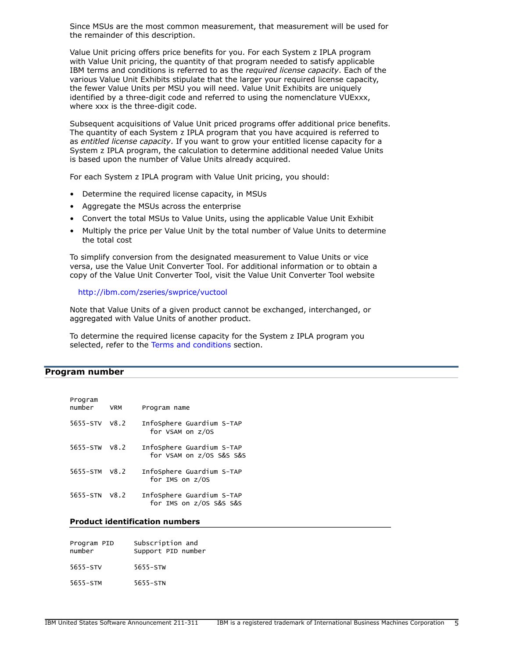Since MSUs are the most common measurement, that measurement will be used for the remainder of this description.

Value Unit pricing offers price benefits for you. For each System z IPLA program with Value Unit pricing, the quantity of that program needed to satisfy applicable IBM terms and conditions is referred to as the *required license capacity*. Each of the various Value Unit Exhibits stipulate that the larger your required license capacity, the fewer Value Units per MSU you will need. Value Unit Exhibits are uniquely identified by a three-digit code and referred to using the nomenclature VUExxx, where xxx is the three-digit code.

Subsequent acquisitions of Value Unit priced programs offer additional price benefits. The quantity of each System z IPLA program that you have acquired is referred to as *entitled license capacity*. If you want to grow your entitled license capacity for a System z IPLA program, the calculation to determine additional needed Value Units is based upon the number of Value Units already acquired.

For each System z IPLA program with Value Unit pricing, you should:

- Determine the required license capacity, in MSUs
- Aggregate the MSUs across the enterprise
- Convert the total MSUs to Value Units, using the applicable Value Unit Exhibit
- Multiply the price per Value Unit by the total number of Value Units to determine the total cost

To simplify conversion from the designated measurement to Value Units or vice versa, use the Value Unit Converter Tool. For additional information or to obtain a copy of the Value Unit Converter Tool, visit the Value Unit Converter Tool website

<http://ibm.com/zseries/swprice/vuctool>

Note that Value Units of a given product cannot be exchanged, interchanged, or aggregated with Value Units of another product.

To determine the required license capacity for the System z IPLA program you selected, refer to the [Terms and conditions](#page-11-0) section.

#### <span id="page-4-0"></span>Program number

| Program<br>number | <b>VRM</b> | Program name                                          |
|-------------------|------------|-------------------------------------------------------|
| 5655-STV          | V8.2       | InfoSphere Guardium S-TAP<br>for VSAM on z/OS         |
| $5655 - STW$      | V8.2       | InfoSphere Guardium S-TAP<br>for VSAM on z/OS S&S S&S |
| 5655-STM          | V8.2       | InfoSphere Guardium S-TAP<br>for IMS on z/OS          |
| 5655-STN          | V8.2       | InfoSphere Guardium S-TAP<br>for IMS on z/OS S&S S&S  |

#### Product identification numbers

| Program PID<br>number | Subscription and<br>Support PID number |
|-----------------------|----------------------------------------|
| $5655 - STV$          | $5655 - STW$                           |
| 5655-STM              | 5655-STN                               |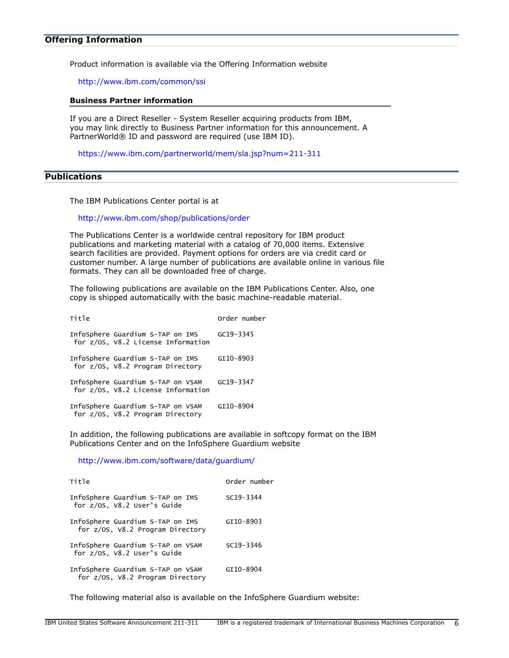Product information is available via the Offering Information website

<http://www.ibm.com/common/ssi>

#### Business Partner information

If you are a Direct Reseller - System Reseller acquiring products from IBM, you may link directly to Business Partner information for this announcement. A PartnerWorld® ID and password are required (use IBM ID).

<https://www.ibm.com/partnerworld/mem/sla.jsp?num=211-311>

## <span id="page-5-0"></span>**Publications**

The IBM Publications Center portal is at

<http://www.ibm.com/shop/publications/order>

The Publications Center is a worldwide central repository for IBM product publications and marketing material with a catalog of 70,000 items. Extensive search facilities are provided. Payment options for orders are via credit card or customer number. A large number of publications are available online in various file formats. They can all be downloaded free of charge.

The following publications are available on the IBM Publications Center. Also, one copy is shipped automatically with the basic machine-readable material.

| Title |                                                                         |               | Order number |
|-------|-------------------------------------------------------------------------|---------------|--------------|
|       | InfoSphere Guardium S-TAP on IMS<br>for z/OS, V8.2 License Information  | $GC19 - 3345$ |              |
|       | InfoSphere Guardium S-TAP on IMS<br>for z/OS, V8.2 Program Directory    | GI10-8903     |              |
|       | InfoSphere Guardium S-TAP on VSAM<br>for z/OS, V8.2 License Information | GC19-3347     |              |
|       | InfoSphere Guardium S-TAP on VSAM<br>for z/OS, V8.2 Program Directory   | GI10-8904     |              |

In addition, the following publications are available in softcopy format on the IBM Publications Center and on the InfoSphere Guardium website

<http://www.ibm.com/software/data/guardium/>

| Title                                                                 | Order number  |
|-----------------------------------------------------------------------|---------------|
| InfoSphere Guardium S-TAP on IMS<br>for z/OS, V8.2 User's Guide       | $SC19 - 3344$ |
| InfoSphere Guardium S-TAP on IMS<br>for z/OS, V8.2 Program Directory  | GI10-8903     |
| InfoSphere Guardium S-TAP on VSAM<br>for z/OS, V8.2 User's Guide      | SC19-3346     |
| InfoSphere Guardium S-TAP on VSAM<br>for z/OS, V8.2 Program Directory | GI10-8904     |

The following material also is available on the InfoSphere Guardium website: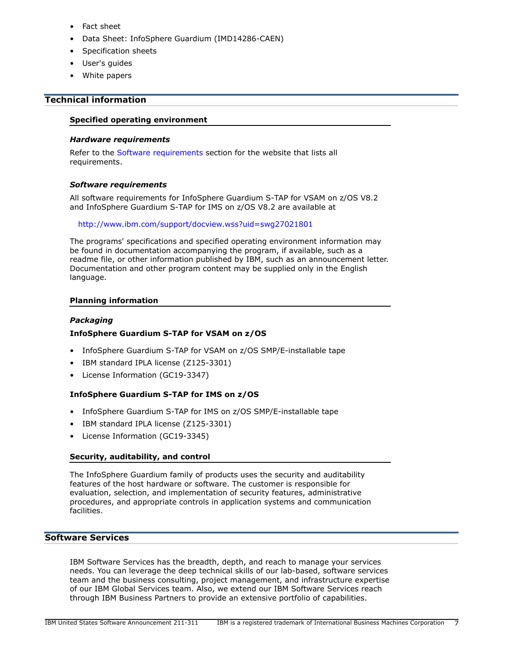- Fact sheet
- Data Sheet: InfoSphere Guardium (IMD14286-CAEN)
- Specification sheets
- User's guides
- White papers

# <span id="page-6-0"></span>Technical information

#### Specified operating environment

#### *Hardware requirements*

Refer to the [Software requirements](#page-6-1) section for the website that lists all requirements.

## <span id="page-6-1"></span>*Software requirements*

All software requirements for InfoSphere Guardium S-TAP for VSAM on z/OS V8.2 and InfoSphere Guardium S-TAP for IMS on z/OS V8.2 are available at

#### <http://www.ibm.com/support/docview.wss?uid=swg27021801>

The programs' specifications and specified operating environment information may be found in documentation accompanying the program, if available, such as a readme file, or other information published by IBM, such as an announcement letter. Documentation and other program content may be supplied only in the English language.

## Planning information

## *Packaging*

## InfoSphere Guardium S-TAP for VSAM on z/OS

- InfoSphere Guardium S-TAP for VSAM on z/OS SMP/E-installable tape
- IBM standard IPLA license (Z125-3301)
- License Information (GC19-3347)

## InfoSphere Guardium S-TAP for IMS on z/OS

- InfoSphere Guardium S-TAP for IMS on z/OS SMP/E-installable tape
- IBM standard IPLA license (Z125-3301)
- License Information (GC19-3345)

## Security, auditability, and control

The InfoSphere Guardium family of products uses the security and auditability features of the host hardware or software. The customer is responsible for evaluation, selection, and implementation of security features, administrative procedures, and appropriate controls in application systems and communication facilities.

## Software Services

IBM Software Services has the breadth, depth, and reach to manage your services needs. You can leverage the deep technical skills of our lab-based, software services team and the business consulting, project management, and infrastructure expertise of our IBM Global Services team. Also, we extend our IBM Software Services reach through IBM Business Partners to provide an extensive portfolio of capabilities.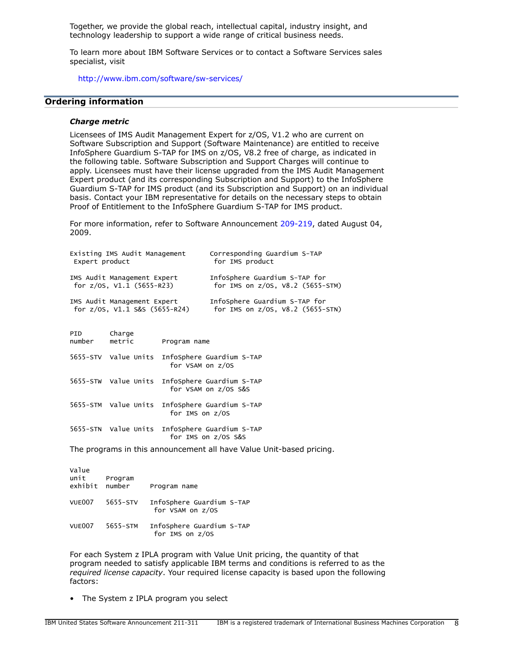Together, we provide the global reach, intellectual capital, industry insight, and technology leadership to support a wide range of critical business needs.

To learn more about IBM Software Services or to contact a Software Services sales specialist, visit

<http://www.ibm.com/software/sw-services/>

#### <span id="page-7-0"></span>Ordering information

#### *Charge metric*

Licensees of IMS Audit Management Expert for z/OS, V1.2 who are current on Software Subscription and Support (Software Maintenance) are entitled to receive InfoSphere Guardium S-TAP for IMS on z/OS, V8.2 free of charge, as indicated in the following table. Software Subscription and Support Charges will continue to apply. Licensees must have their license upgraded from the IMS Audit Management Expert product (and its corresponding Subscription and Support) to the InfoSphere Guardium S-TAP for IMS product (and its Subscription and Support) on an individual basis. Contact your IBM representative for details on the necessary steps to obtain Proof of Entitlement to the InfoSphere Guardium S-TAP for IMS product.

For more information, refer to Software Announcement [209-219,](http://www.ibm.com/common/ssi/cgi-bin/ssialias?infotype=an&subtype=ca&appname=gpateam&supplier=897&letternum=ENUS209-219) dated August 04, 2009.

| Existing IMS Audit Management        |                  |                  | Corresponding Guardium S-TAP                   |  |  |
|--------------------------------------|------------------|------------------|------------------------------------------------|--|--|
| Expert product                       |                  |                  | for IMS product                                |  |  |
| IMS Audit Management Expert          |                  |                  | InfoSphere Guardium S-TAP for                  |  |  |
| for $z/0s$ , $V1.1$ (5655-R23)       |                  |                  | for IMS on $z/OS$ , $V8.2$ (5655-STM)          |  |  |
| IMS Audit Management Expert          |                  |                  | InfoSphere Guardium S-TAP for                  |  |  |
| for $z/0s$ , $V1.1$ $S&S$ (5655-R24) |                  |                  | for IMS on $z/0S$ , $V8.2$ (5655-STN)          |  |  |
| PID<br>number                        | Charge<br>metric | Program name     |                                                |  |  |
|                                      |                  | for VSAM on z/OS | 5655-STV Value Units InfoSphere Guardium S-TAP |  |  |

|  | 5655-STW Value Units InfoSphere Guardium S-TAP<br>for VSAM on z/OS S&S |
|--|------------------------------------------------------------------------|
|  | 5655-STM Value Units InfoSphere Guardium S-TAP<br>for IMS on z/OS      |

5655-STN Value Units InfoSphere Guardium S-TAP for IMS on z/OS S&S

The programs in this announcement all have Value Unit-based pricing.

| Value<br>unit<br>exhibit | Program<br>number | Program name                                  |
|--------------------------|-------------------|-----------------------------------------------|
| VUE007                   | 5655-STV          | InfoSphere Guardium S-TAP<br>for VSAM on z/OS |
| VUE007                   | 5655-STM          | InfoSphere Guardium S-TAP<br>for IMS on z/0S  |

For each System z IPLA program with Value Unit pricing, the quantity of that program needed to satisfy applicable IBM terms and conditions is referred to as the *required license capacity*. Your required license capacity is based upon the following factors:

• The System z IPLA program you select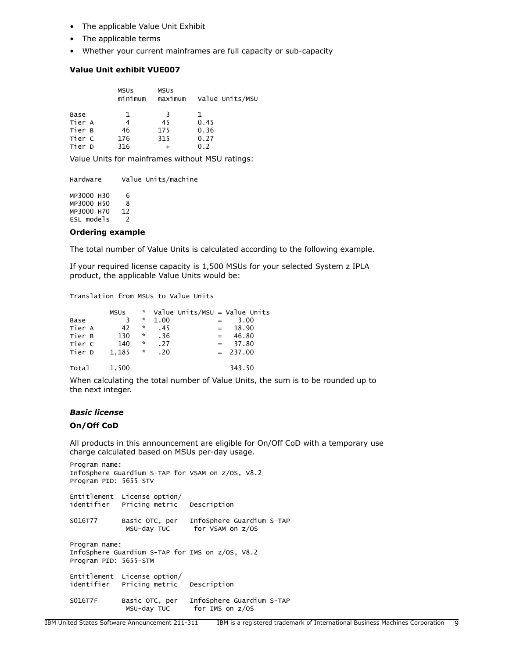- The applicable Value Unit Exhibit
- The applicable terms
- Whether your current mainframes are full capacity or sub-capacity

## Value Unit exhibit VUE007

|        | <b>MSUS</b><br>minimum | <b>MSUS</b><br>maximum | Value Units/MSU |
|--------|------------------------|------------------------|-----------------|
| Base   |                        |                        | 1               |
| Tier A | 4                      | 45                     | 0.45            |
| Tier B | 46                     | 175                    | 0.36            |
| Tier C | 176                    | 315                    | 0.27            |
| Tier D | 316                    |                        | ი >             |

Value Units for mainframes without MSU ratings:

Hardware Value Units/machine MP3000 H30 6

MP3000 H50 8 MP3000 H70 12 ESL models 2

#### Ordering example

The total number of Value Units is calculated according to the following example.

If your required license capacity is 1,500 MSUs for your selected System z IPLA product, the applicable Value Units would be:

Translation from MSUs to Value Units

|        | MSUS  |                      |      |                           | * Value Units/MSU = Value Units |
|--------|-------|----------------------|------|---------------------------|---------------------------------|
| Base   |       | *                    | 1.00 | $=$                       | 3.00                            |
| Tier A | 42    | ×.                   | .45  |                           | $= 18.90$                       |
| Tier B | 130   | $\boldsymbol{\star}$ | . 36 | $\mathbf{r} = \mathbf{r}$ | 46.80                           |
| Tier C | 140   | *                    | .27  |                           | $= 37.80$                       |
| Tier D | 1.185 | $\mathcal{R}$        | .20  |                           | $= 237.00$                      |
|        |       |                      |      |                           |                                 |

Total 1,500 343.50

When calculating the total number of Value Units, the sum is to be rounded up to the next integer.

#### *Basic license*

#### On/Off CoD

All products in this announcement are eligible for On/Off CoD with a temporary use charge calculated based on MSUs per-day usage.

Program name: InfoSphere Guardium S-TAP for VSAM on z/OS, V8.2 Program PID: 5655-STV Entitlement License option/ identifier Pricing metric Description S016T77 Basic OTC, per InfoSphere Guardium S-TAP MSU-day TUC for VSAM on z/OS Program name: InfoSphere Guardium S-TAP for IMS on z/OS, V8.2 Program PID: 5655-STM Entitlement License option/ Pricing metric Description S016T7F Basic OTC, per InfoSphere Guardium S-TAP for IMS on z/OS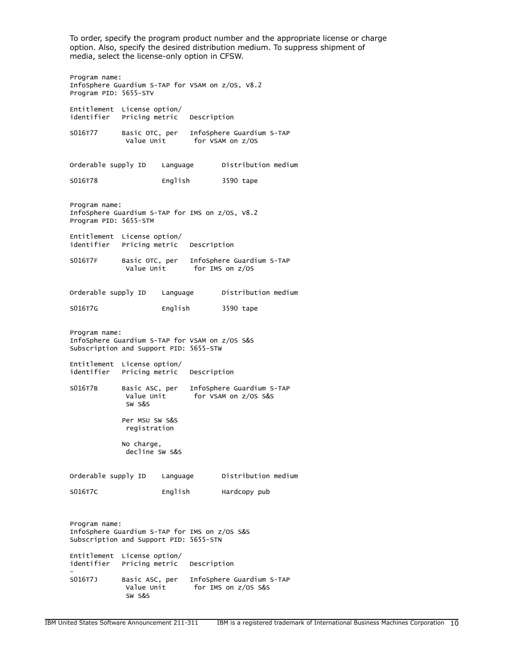To order, specify the program product number and the appropriate license or charge option. Also, specify the desired distribution medium. To suppress shipment of media, select the license-only option in CFSW.

Program name: InfoSphere Guardium S-TAP for VSAM on z/OS, V8.2 Program PID: 5655-STV Entitlement License option/ Pricing metric Description S016T77 Basic OTC, per InfoSphere Guardium S-TAP for VSAM on z/OS Orderable supply ID Language Distribution medium SO16T78 English 3590 tape Program name: InfoSphere Guardium S-TAP for IMS on z/OS, V8.2 Program PID: 5655-STM Entitlement License option/ identifier Pricing metric Description S016T7F Basic OTC, per InfoSphere Guardium S-TAP for IMS on z/OS Orderable supply ID Language Distribution medium SO16T7G English 3590 tape Program name: InfoSphere Guardium S-TAP for VSAM on z/OS S&S Subscription and Support PID: 5655-STW Entitlement License option/ identifier Pricing metric Description S016T7B Basic ASC, per InfoSphere Guardium S-TAP for VSAM on z/OS S&S SW S&S Per MSU SW S&S registration No charge, decline SW S&S Orderable supply ID Language Distribution medium SO16T7C English Hardcopy pub Program name: InfoSphere Guardium S-TAP for IMS on z/OS S&S Subscription and Support PID: 5655-STN Entitlement License option/ identifier Pricing metric Description -

S016T7J Basic ASC, per InfoSphere Guardium S-TAP Value Unit for IMS on z/OS S&S SW S&S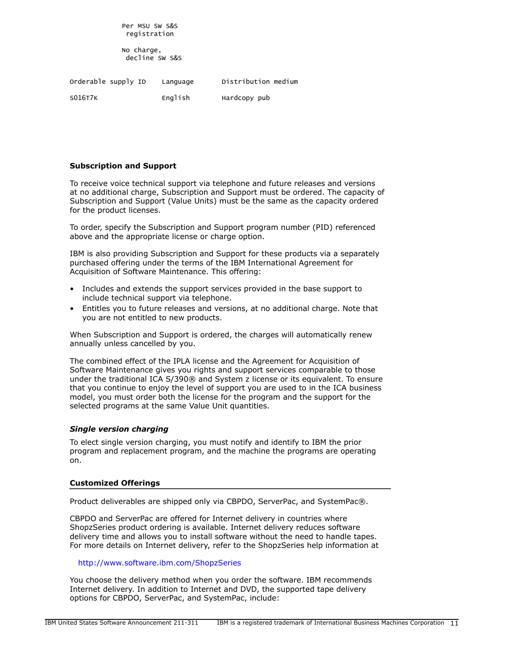Per MSU SW S&S registration

 No charge, decline SW S&S

Orderable supply ID Language Distribution medium SO16T7K English Hardcopy pub

## Subscription and Support

To receive voice technical support via telephone and future releases and versions at no additional charge, Subscription and Support must be ordered. The capacity of Subscription and Support (Value Units) must be the same as the capacity ordered for the product licenses.

To order, specify the Subscription and Support program number (PID) referenced above and the appropriate license or charge option.

IBM is also providing Subscription and Support for these products via a separately purchased offering under the terms of the IBM International Agreement for Acquisition of Software Maintenance. This offering:

- Includes and extends the support services provided in the base support to include technical support via telephone.
- Entitles you to future releases and versions, at no additional charge. Note that you are not entitled to new products.

When Subscription and Support is ordered, the charges will automatically renew annually unless cancelled by you.

The combined effect of the IPLA license and the Agreement for Acquisition of Software Maintenance gives you rights and support services comparable to those under the traditional ICA S/390® and System z license or its equivalent. To ensure that you continue to enjoy the level of support you are used to in the ICA business model, you must order both the license for the program and the support for the selected programs at the same Value Unit quantities.

#### *Single version charging*

To elect single version charging, you must notify and identify to IBM the prior program and replacement program, and the machine the programs are operating on.

#### Customized Offerings

Product deliverables are shipped only via CBPDO, ServerPac, and SystemPac®.

CBPDO and ServerPac are offered for Internet delivery in countries where ShopzSeries product ordering is available. Internet delivery reduces software delivery time and allows you to install software without the need to handle tapes. For more details on Internet delivery, refer to the ShopzSeries help information at

#### <http://www.software.ibm.com/ShopzSeries>

You choose the delivery method when you order the software. IBM recommends Internet delivery. In addition to Internet and DVD, the supported tape delivery options for CBPDO, ServerPac, and SystemPac, include: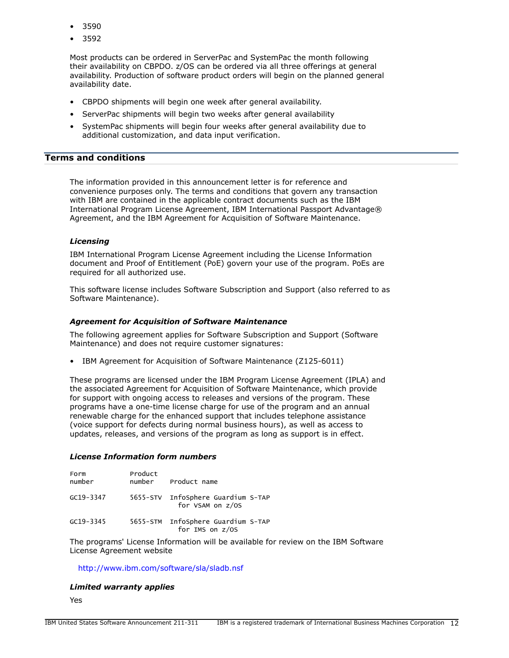- 3590
- 3592

Most products can be ordered in ServerPac and SystemPac the month following their availability on CBPDO. z/OS can be ordered via all three offerings at general availability. Production of software product orders will begin on the planned general availability date.

- CBPDO shipments will begin one week after general availability.
- ServerPac shipments will begin two weeks after general availability
- SystemPac shipments will begin four weeks after general availability due to additional customization, and data input verification.

# <span id="page-11-0"></span>Terms and conditions

The information provided in this announcement letter is for reference and convenience purposes only. The terms and conditions that govern any transaction with IBM are contained in the applicable contract documents such as the IBM International Program License Agreement, IBM International Passport Advantage® Agreement, and the IBM Agreement for Acquisition of Software Maintenance.

#### *Licensing*

IBM International Program License Agreement including the License Information document and Proof of Entitlement (PoE) govern your use of the program. PoEs are required for all authorized use.

This software license includes Software Subscription and Support (also referred to as Software Maintenance).

#### *Agreement for Acquisition of Software Maintenance*

The following agreement applies for Software Subscription and Support (Software Maintenance) and does not require customer signatures:

• IBM Agreement for Acquisition of Software Maintenance (Z125-6011)

These programs are licensed under the IBM Program License Agreement (IPLA) and the associated Agreement for Acquisition of Software Maintenance, which provide for support with ongoing access to releases and versions of the program. These programs have a one-time license charge for use of the program and an annual renewable charge for the enhanced support that includes telephone assistance (voice support for defects during normal business hours), as well as access to updates, releases, and versions of the program as long as support is in effect.

#### *License Information form numbers*

| Form<br>number | Product | number Product name                                    |
|----------------|---------|--------------------------------------------------------|
| GC19-3347      |         | 5655-STV InfoSphere Guardium S-TAP<br>for VSAM on z/OS |
| GC19-3345      |         | 5655-STM InfoSphere Guardium S-TAP<br>for IMS on z/OS  |

The programs' License Information will be available for review on the IBM Software License Agreement website

#### <http://www.ibm.com/software/sla/sladb.nsf>

#### *Limited warranty applies*

Yes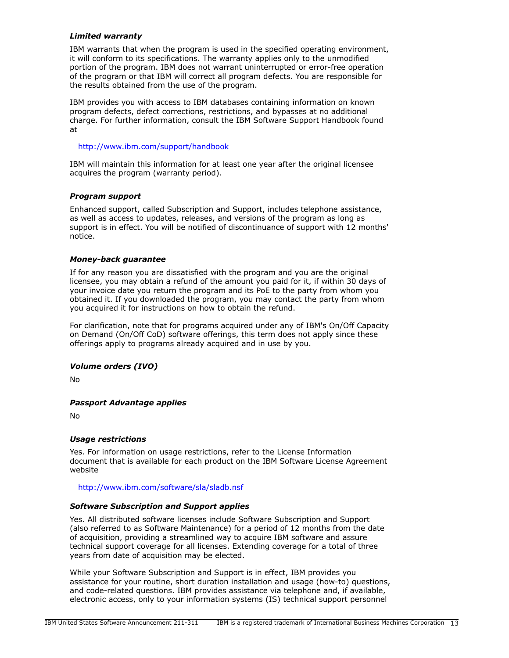## *Limited warranty*

IBM warrants that when the program is used in the specified operating environment, it will conform to its specifications. The warranty applies only to the unmodified portion of the program. IBM does not warrant uninterrupted or error-free operation of the program or that IBM will correct all program defects. You are responsible for the results obtained from the use of the program.

IBM provides you with access to IBM databases containing information on known program defects, defect corrections, restrictions, and bypasses at no additional charge. For further information, consult the IBM Software Support Handbook found at

#### <http://www.ibm.com/support/handbook>

IBM will maintain this information for at least one year after the original licensee acquires the program (warranty period).

## *Program support*

Enhanced support, called Subscription and Support, includes telephone assistance, as well as access to updates, releases, and versions of the program as long as support is in effect. You will be notified of discontinuance of support with 12 months' notice.

## *Money-back guarantee*

If for any reason you are dissatisfied with the program and you are the original licensee, you may obtain a refund of the amount you paid for it, if within 30 days of your invoice date you return the program and its PoE to the party from whom you obtained it. If you downloaded the program, you may contact the party from whom you acquired it for instructions on how to obtain the refund.

For clarification, note that for programs acquired under any of IBM's On/Off Capacity on Demand (On/Off CoD) software offerings, this term does not apply since these offerings apply to programs already acquired and in use by you.

## *Volume orders (IVO)*

No

## *Passport Advantage applies*

No

## *Usage restrictions*

Yes. For information on usage restrictions, refer to the License Information document that is available for each product on the IBM Software License Agreement website

<http://www.ibm.com/software/sla/sladb.nsf>

#### *Software Subscription and Support applies*

Yes. All distributed software licenses include Software Subscription and Support (also referred to as Software Maintenance) for a period of 12 months from the date of acquisition, providing a streamlined way to acquire IBM software and assure technical support coverage for all licenses. Extending coverage for a total of three years from date of acquisition may be elected.

While your Software Subscription and Support is in effect, IBM provides you assistance for your routine, short duration installation and usage (how-to) questions, and code-related questions. IBM provides assistance via telephone and, if available, electronic access, only to your information systems (IS) technical support personnel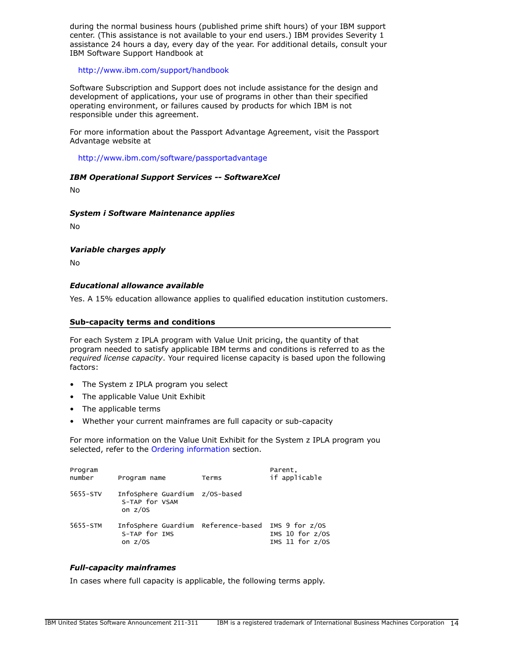during the normal business hours (published prime shift hours) of your IBM support center. (This assistance is not available to your end users.) IBM provides Severity 1 assistance 24 hours a day, every day of the year. For additional details, consult your IBM Software Support Handbook at

<http://www.ibm.com/support/handbook>

Software Subscription and Support does not include assistance for the design and development of applications, your use of programs in other than their specified operating environment, or failures caused by products for which IBM is not responsible under this agreement.

For more information about the Passport Advantage Agreement, visit the Passport Advantage website at

## <http://www.ibm.com/software/passportadvantage>

## *IBM Operational Support Services -- SoftwareXcel*

No

#### *System i Software Maintenance applies*

No

## *Variable charges apply*

No

## *Educational allowance available*

Yes. A 15% education allowance applies to qualified education institution customers.

#### Sub-capacity terms and conditions

For each System z IPLA program with Value Unit pricing, the quantity of that program needed to satisfy applicable IBM terms and conditions is referred to as the *required license capacity*. Your required license capacity is based upon the following factors:

- The System z IPLA program you select
- The applicable Value Unit Exhibit
- The applicable terms
- Whether your current mainframes are full capacity or sub-capacity

For more information on the Value Unit Exhibit for the System z IPLA program you selected, refer to the [Ordering information](#page-7-0) section.

| Program<br>number | Program name                                                      | Terms | Parent.<br>if applicable                                     |
|-------------------|-------------------------------------------------------------------|-------|--------------------------------------------------------------|
| 5655-STV          | InfoSphere Guardium z/OS-based<br>S-TAP for VSAM<br>on $z/0S$     |       |                                                              |
| 5655-STM          | InfoSphere Guardium Reference-based<br>S-TAP for IMS<br>on $z/0S$ |       | IMS $9$ for $z/0S$<br>IMS 10 for $z/0S$<br>IMS 11 for $z/0S$ |

## *Full-capacity mainframes*

In cases where full capacity is applicable, the following terms apply.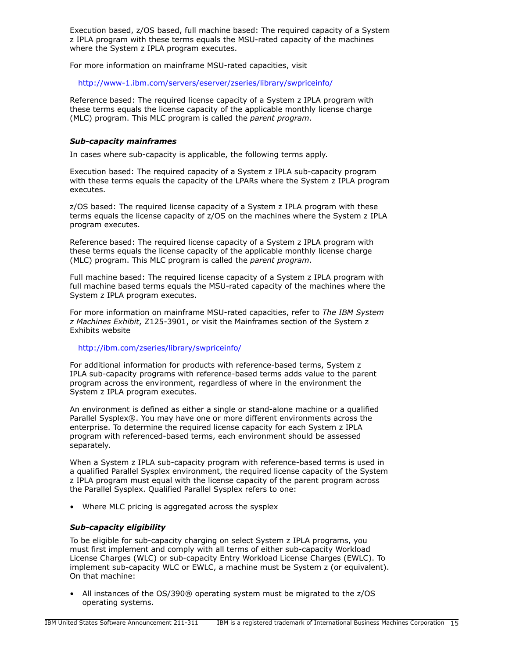Execution based, z/OS based, full machine based: The required capacity of a System z IPLA program with these terms equals the MSU-rated capacity of the machines where the System z IPLA program executes.

For more information on mainframe MSU-rated capacities, visit

<http://www-1.ibm.com/servers/eserver/zseries/library/swpriceinfo/>

Reference based: The required license capacity of a System z IPLA program with these terms equals the license capacity of the applicable monthly license charge (MLC) program. This MLC program is called the *parent program*.

## *Sub-capacity mainframes*

In cases where sub-capacity is applicable, the following terms apply.

Execution based: The required capacity of a System z IPLA sub-capacity program with these terms equals the capacity of the LPARs where the System z IPLA program executes.

z/OS based: The required license capacity of a System z IPLA program with these terms equals the license capacity of z/OS on the machines where the System z IPLA program executes.

Reference based: The required license capacity of a System z IPLA program with these terms equals the license capacity of the applicable monthly license charge (MLC) program. This MLC program is called the *parent program*.

Full machine based: The required license capacity of a System z IPLA program with full machine based terms equals the MSU-rated capacity of the machines where the System z IPLA program executes.

For more information on mainframe MSU-rated capacities, refer to *The IBM System z Machines Exhibit*, Z125-3901, or visit the Mainframes section of the System z Exhibits website

## <http://ibm.com/zseries/library/swpriceinfo/>

For additional information for products with reference-based terms, System z IPLA sub-capacity programs with reference-based terms adds value to the parent program across the environment, regardless of where in the environment the System z IPLA program executes.

An environment is defined as either a single or stand-alone machine or a qualified Parallel Sysplex®. You may have one or more different environments across the enterprise. To determine the required license capacity for each System z IPLA program with referenced-based terms, each environment should be assessed separately.

When a System z IPLA sub-capacity program with reference-based terms is used in a qualified Parallel Sysplex environment, the required license capacity of the System z IPLA program must equal with the license capacity of the parent program across the Parallel Sysplex. Qualified Parallel Sysplex refers to one:

• Where MLC pricing is aggregated across the sysplex

## *Sub-capacity eligibility*

To be eligible for sub-capacity charging on select System z IPLA programs, you must first implement and comply with all terms of either sub-capacity Workload License Charges (WLC) or sub-capacity Entry Workload License Charges (EWLC). To implement sub-capacity WLC or EWLC, a machine must be System z (or equivalent). On that machine:

• All instances of the OS/390® operating system must be migrated to the z/OS operating systems.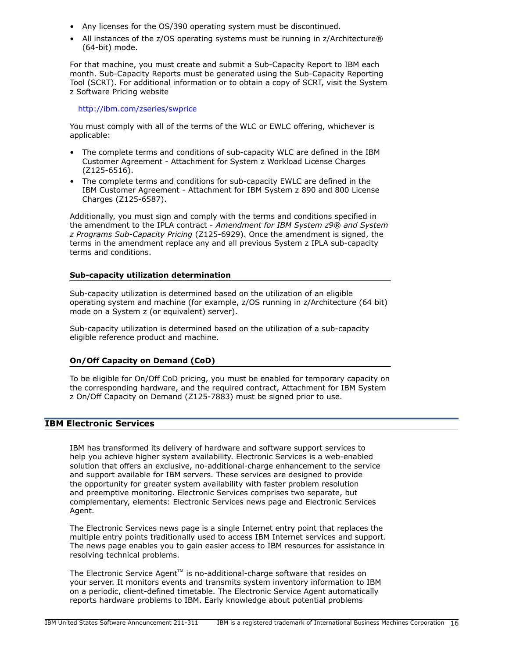- Any licenses for the OS/390 operating system must be discontinued.
- All instances of the z/OS operating systems must be running in z/Architecture® (64-bit) mode.

For that machine, you must create and submit a Sub-Capacity Report to IBM each month. Sub-Capacity Reports must be generated using the Sub-Capacity Reporting Tool (SCRT). For additional information or to obtain a copy of SCRT, visit the System z Software Pricing website

<http://ibm.com/zseries/swprice>

You must comply with all of the terms of the WLC or EWLC offering, whichever is applicable:

- The complete terms and conditions of sub-capacity WLC are defined in the IBM Customer Agreement - Attachment for System z Workload License Charges (Z125-6516).
- The complete terms and conditions for sub-capacity EWLC are defined in the IBM Customer Agreement - Attachment for IBM System z 890 and 800 License Charges (Z125-6587).

Additionally, you must sign and comply with the terms and conditions specified in the amendment to the IPLA contract - *Amendment for IBM System z9® and System z Programs Sub-Capacity Pricing* (Z125-6929). Once the amendment is signed, the terms in the amendment replace any and all previous System z IPLA sub-capacity terms and conditions.

## Sub-capacity utilization determination

Sub-capacity utilization is determined based on the utilization of an eligible operating system and machine (for example, z/OS running in z/Architecture (64 bit) mode on a System z (or equivalent) server).

Sub-capacity utilization is determined based on the utilization of a sub-capacity eligible reference product and machine.

## On/Off Capacity on Demand (CoD)

To be eligible for On/Off CoD pricing, you must be enabled for temporary capacity on the corresponding hardware, and the required contract, Attachment for IBM System z On/Off Capacity on Demand (Z125-7883) must be signed prior to use.

## IBM Electronic Services

IBM has transformed its delivery of hardware and software support services to help you achieve higher system availability. Electronic Services is a web-enabled solution that offers an exclusive, no-additional-charge enhancement to the service and support available for IBM servers. These services are designed to provide the opportunity for greater system availability with faster problem resolution and preemptive monitoring. Electronic Services comprises two separate, but complementary, elements: Electronic Services news page and Electronic Services Agent.

The Electronic Services news page is a single Internet entry point that replaces the multiple entry points traditionally used to access IBM Internet services and support. The news page enables you to gain easier access to IBM resources for assistance in resolving technical problems.

The Electronic Service Agent $T^M$  is no-additional-charge software that resides on your server. It monitors events and transmits system inventory information to IBM on a periodic, client-defined timetable. The Electronic Service Agent automatically reports hardware problems to IBM. Early knowledge about potential problems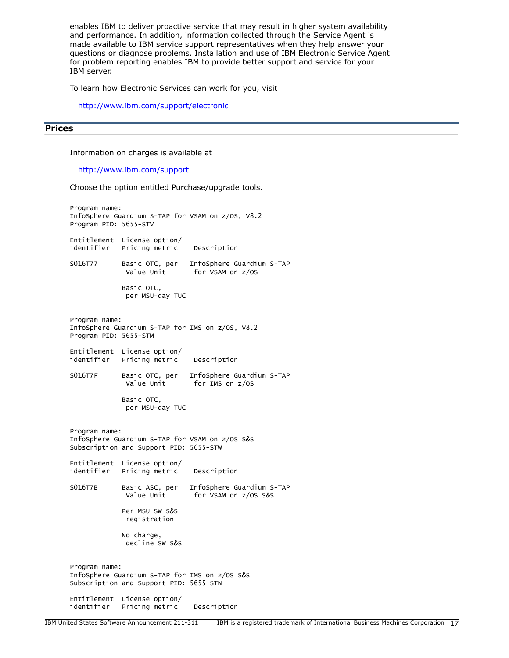enables IBM to deliver proactive service that may result in higher system availability and performance. In addition, information collected through the Service Agent is made available to IBM service support representatives when they help answer your questions or diagnose problems. Installation and use of IBM Electronic Service Agent for problem reporting enables IBM to provide better support and service for your IBM server.

To learn how Electronic Services can work for you, visit

<http://www.ibm.com/support/electronic>

# <span id="page-16-0"></span>**Prices**

Information on charges is available at

<http://www.ibm.com/support>

Choose the option entitled Purchase/upgrade tools.

Program name: InfoSphere Guardium S-TAP for VSAM on z/OS, V8.2 Program PID: 5655-STV Entitlement License option/ identifier Pricing metric Description S016T77 Basic OTC, per InfoSphere Guardium S-TAP Value Unit for VSAM on z/OS Basic OTC, per MSU-day TUC Program name: InfoSphere Guardium S-TAP for IMS on z/OS, V8.2 Program PID: 5655-STM Entitlement License option/ identifier Pricing metric Description S016T7F Basic OTC, per InfoSphere Guardium S-TAP Value Unit for IMS on z/OS Basic OTC, per MSU-day TUC Program name: InfoSphere Guardium S-TAP for VSAM on z/OS S&S Subscription and Support PID: 5655-STW Entitlement License option/ identifier Pricing metric Description S016T7B Basic ASC, per InfoSphere Guardium S-TAP Value Unit for VSAM on z/OS S&S Per MSU SW S&S registration No charge, decline SW S&S Program name: InfoSphere Guardium S-TAP for IMS on z/OS S&S Subscription and Support PID: 5655-STN Entitlement License option/ identifier Pricing metric Description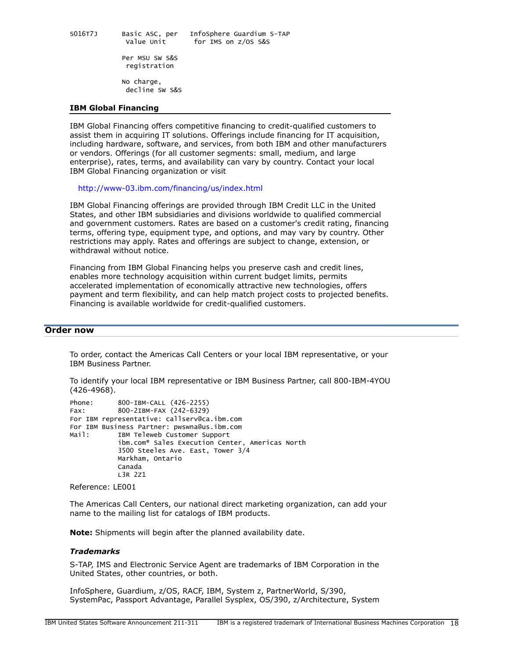S016T7J Basic ASC, per InfoSphere Guardium S-TAP Value Unit for IMS on z/OS S&S

> Per MSU SW S&S registration

 No charge, decline SW S&S

#### IBM Global Financing

IBM Global Financing offers competitive financing to credit-qualified customers to assist them in acquiring IT solutions. Offerings include financing for IT acquisition, including hardware, software, and services, from both IBM and other manufacturers or vendors. Offerings (for all customer segments: small, medium, and large enterprise), rates, terms, and availability can vary by country. Contact your local IBM Global Financing organization or visit

#### <http://www-03.ibm.com/financing/us/index.html>

IBM Global Financing offerings are provided through IBM Credit LLC in the United States, and other IBM subsidiaries and divisions worldwide to qualified commercial and government customers. Rates are based on a customer's credit rating, financing terms, offering type, equipment type, and options, and may vary by country. Other restrictions may apply. Rates and offerings are subject to change, extension, or withdrawal without notice.

Financing from IBM Global Financing helps you preserve cash and credit lines, enables more technology acquisition within current budget limits, permits accelerated implementation of economically attractive new technologies, offers payment and term flexibility, and can help match project costs to projected benefits. Financing is available worldwide for credit-qualified customers.

# <span id="page-17-0"></span>Order now

To order, contact the Americas Call Centers or your local IBM representative, or your IBM Business Partner.

To identify your local IBM representative or IBM Business Partner, call 800-IBM-4YOU (426-4968).

```
Phone: 800-IBM-CALL (426-2255)
Fax: 800-2IBM-FAX (242-6329)
For IBM representative: callserv@ca.ibm.com
For IBM Business Partner: pwswna@us.ibm.com
Mail: IBM Teleweb Customer Support
            ibm.com® Sales Execution Center, Americas North
            3500 Steeles Ave. East, Tower 3/4
            Markham, Ontario
            Canada
            L3R 2Z1
```
Reference: LE001

The Americas Call Centers, our national direct marketing organization, can add your name to the mailing list for catalogs of IBM products.

Note: Shipments will begin after the planned availability date.

#### *Trademarks*

S-TAP, IMS and Electronic Service Agent are trademarks of IBM Corporation in the United States, other countries, or both.

InfoSphere, Guardium, z/OS, RACF, IBM, System z, PartnerWorld, S/390, SystemPac, Passport Advantage, Parallel Sysplex, OS/390, z/Architecture, System